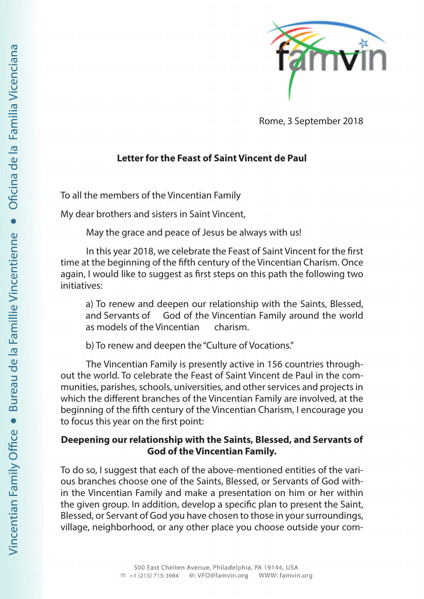

Rome, 3 September 2018

## **Letter for the Feast of Saint Vincent de Paul**

To all the members of the Vincentian Family

My dear brothers and sisters in Saint Vincent,

May the grace and peace of Jesus be always with us!

In this year 2018, we celebrate the Feast of Saint Vincent for the first time at the beginning of the fifth century of the Vincentian Charism. Once again, I would like to suggest as first steps on this path the following two initiatives:

a) To renew and deepen our relationship with the Saints, Blessed, and Servants of God of the Vincentian Family around the world as models of the Vincentian charism.

b) To renew and deepen the "Culture of Vocations."

The Vincentian Family is presently active in 156 countries throughout the world. To celebrate the Feast of Saint Vincent de Paul in the communities, parishes, schools, universities, and other services and projects in which the different branches of the Vincentian Family are involved, at the beginning of the fifth century of the Vincentian Charism, I encourage you to focus this year on the first point:

## **Deepening our relationship with the Saints, Blessed, and Servants of God of the Vincentian Family.**

To do so, I suggest that each of the above-mentioned entities of the various branches choose one of the Saints, Blessed, or Servants of God within the Vincentian Family and make a presentation on him or her within the given group. In addition, develop a specific plan to present the Saint, Blessed, or Servant of God you have chosen to those in your surroundings, village, neighborhood, or any other place you choose outside your com-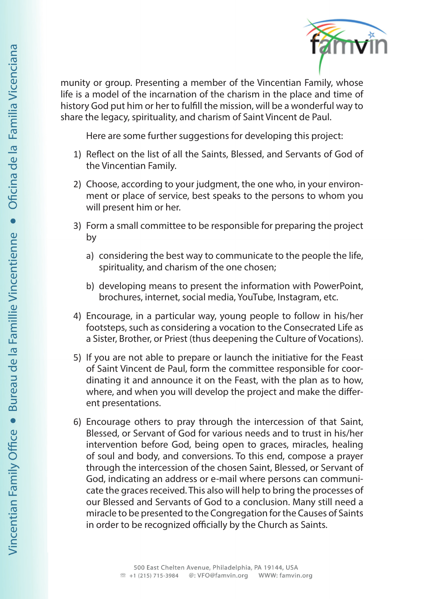

munity or group. Presenting a member of the Vincentian Family, whose life is a model of the incarnation of the charism in the place and time of history God put him or her to fulfill the mission, will be a wonderful way to share the legacy, spirituality, and charism of Saint Vincent de Paul.

Here are some further suggestions for developing this project:

- 1) Reflect on the list of all the Saints, Blessed, and Servants of God of the Vincentian Family.
- 2) Choose, according to your judgment, the one who, in your environment or place of service, best speaks to the persons to whom you will present him or her.
- 3) Form a small committee to be responsible for preparing the project by
	- a) considering the best way to communicate to the people the life, spirituality, and charism of the one chosen;
	- b) developing means to present the information with PowerPoint, brochures, internet, social media, YouTube, Instagram, etc.
- 4) Encourage, in a particular way, young people to follow in his/her footsteps, such as considering a vocation to the Consecrated Life as a Sister, Brother, or Priest (thus deepening the Culture of Vocations).
- 5) If you are not able to prepare or launch the initiative for the Feast of Saint Vincent de Paul, form the committee responsible for coordinating it and announce it on the Feast, with the plan as to how, where, and when you will develop the project and make the different presentations.
- 6) Encourage others to pray through the intercession of that Saint, Blessed, or Servant of God for various needs and to trust in his/her intervention before God, being open to graces, miracles, healing of soul and body, and conversions. To this end, compose a prayer through the intercession of the chosen Saint, Blessed, or Servant of God, indicating an address or e-mail where persons can communicate the graces received. This also will help to bring the processes of our Blessed and Servants of God to a conclusion. Many still need a miracle to be presented to the Congregation for the Causes of Saints in order to be recognized officially by the Church as Saints.